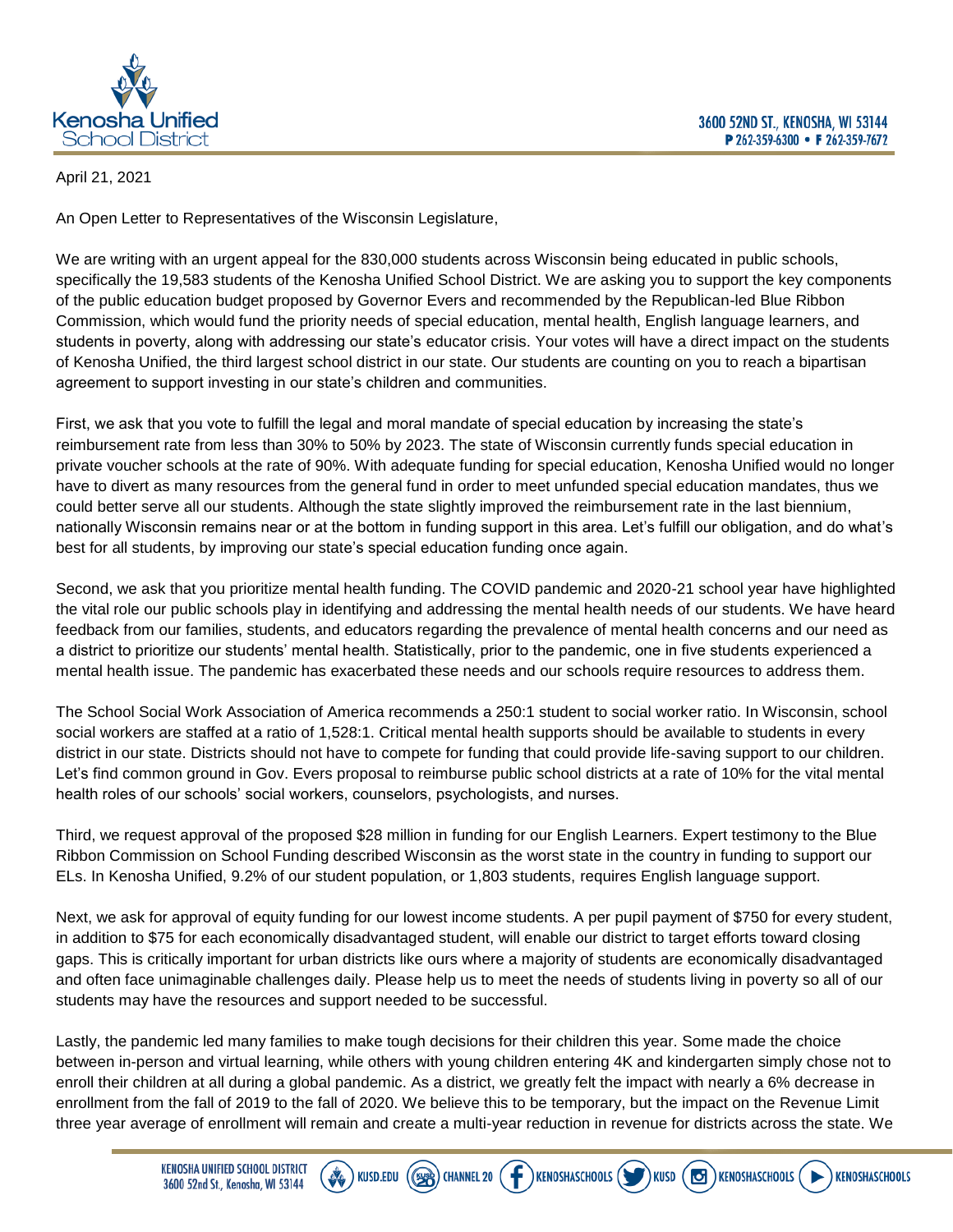

## April 21, 2021

An Open Letter to Representatives of the Wisconsin Legislature,

We are writing with an urgent appeal for the 830,000 students across Wisconsin being educated in public schools, specifically the 19,583 students of the Kenosha Unified School District. We are asking you to support the key components of the public education budget proposed by Governor Evers and recommended by the Republican-led Blue Ribbon Commission, which would fund the priority needs of special education, mental health, English language learners, and students in poverty, along with addressing our state's educator crisis. Your votes will have a direct impact on the students of Kenosha Unified, the third largest school district in our state. Our students are counting on you to reach a bipartisan agreement to support investing in our state's children and communities.

First, we ask that you vote to fulfill the legal and moral mandate of special education by increasing the state's reimbursement rate from less than 30% to 50% by 2023. The state of Wisconsin currently funds special education in private voucher schools at the rate of 90%. With adequate funding for special education, Kenosha Unified would no longer have to divert as many resources from the general fund in order to meet unfunded special education mandates, thus we could better serve all our students. Although the state slightly improved the reimbursement rate in the last biennium, nationally Wisconsin remains near or at the bottom in funding support in this area. Let's fulfill our obligation, and do what's best for all students, by improving our state's special education funding once again.

Second, we ask that you prioritize mental health funding. The COVID pandemic and 2020-21 school year have highlighted the vital role our public schools play in identifying and addressing the mental health needs of our students. We have heard feedback from our families, students, and educators regarding the prevalence of mental health concerns and our need as a district to prioritize our students' mental health. Statistically, prior to the pandemic, one in five students experienced a mental health issue. The pandemic has exacerbated these needs and our schools require resources to address them.

The School Social Work Association of America recommends a 250:1 student to social worker ratio. In Wisconsin, school social workers are staffed at a ratio of 1,528:1. Critical mental health supports should be available to students in every district in our state. Districts should not have to compete for funding that could provide life-saving support to our children. Let's find common ground in Gov. Evers proposal to reimburse public school districts at a rate of 10% for the vital mental health roles of our schools' social workers, counselors, psychologists, and nurses.

Third, we request approval of the proposed \$28 million in funding for our English Learners. Expert testimony to the Blue Ribbon Commission on School Funding described Wisconsin as the worst state in the country in funding to support our ELs. In Kenosha Unified, 9.2% of our student population, or 1,803 students, requires English language support.

Next, we ask for approval of equity funding for our lowest income students. A per pupil payment of \$750 for every student, in addition to \$75 for each economically disadvantaged student, will enable our district to target efforts toward closing gaps. This is critically important for urban districts like ours where a majority of students are economically disadvantaged and often face unimaginable challenges daily. Please help us to meet the needs of students living in poverty so all of our students may have the resources and support needed to be successful.

Lastly, the pandemic led many families to make tough decisions for their children this year. Some made the choice between in-person and virtual learning, while others with young children entering 4K and kindergarten simply chose not to enroll their children at all during a global pandemic. As a district, we greatly felt the impact with nearly a 6% decrease in enrollment from the fall of 2019 to the fall of 2020. We believe this to be temporary, but the impact on the Revenue Limit three year average of enrollment will remain and create a multi-year reduction in revenue for districts across the state. We

**CHANNEL 20** 

**KENOSHASCHOOLS**